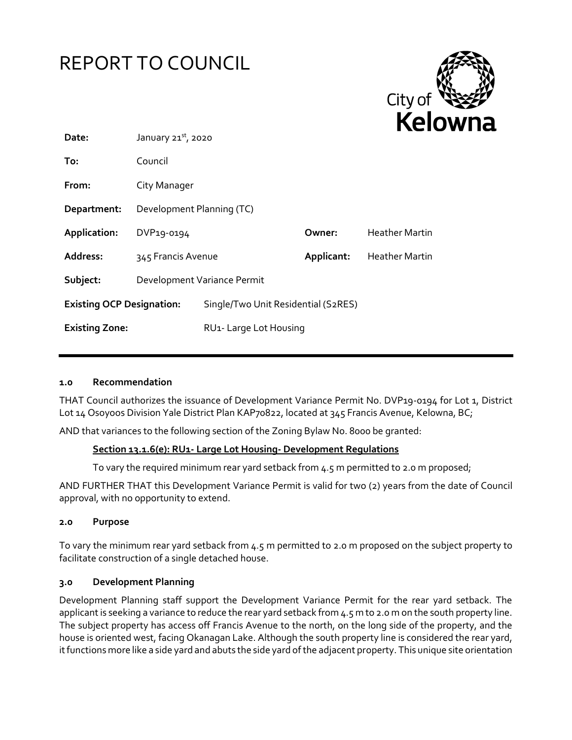



| Date:                            | January $21^{st}$ , 2020    |                                     | .          |                       |
|----------------------------------|-----------------------------|-------------------------------------|------------|-----------------------|
| To:                              | Council                     |                                     |            |                       |
| From:                            | City Manager                |                                     |            |                       |
| Department:                      | Development Planning (TC)   |                                     |            |                       |
| Application:                     | DVP19-0194                  |                                     | Owner:     | <b>Heather Martin</b> |
| Address:                         | 345 Francis Avenue          |                                     | Applicant: | Heather Martin        |
| Subject:                         | Development Variance Permit |                                     |            |                       |
| <b>Existing OCP Designation:</b> |                             | Single/Two Unit Residential (S2RES) |            |                       |
| <b>Existing Zone:</b>            |                             | RU <sub>1</sub> -Large Lot Housing  |            |                       |
|                                  |                             |                                     |            |                       |

#### **1.0 Recommendation**

THAT Council authorizes the issuance of Development Variance Permit No. DVP19-0194 for Lot 1, District Lot 14 Osoyoos Division Yale District Plan KAP70822, located at 345 Francis Avenue, Kelowna, BC;

AND that variances to the following section of the Zoning Bylaw No. 8000 be granted:

#### **Section 13.1.6(e): RU1- Large Lot Housing- Development Regulations**

To vary the required minimum rear yard setback from 4.5 m permitted to 2.0 m proposed;

AND FURTHER THAT this Development Variance Permit is valid for two (2) years from the date of Council approval, with no opportunity to extend.

#### **2.0 Purpose**

To vary the minimum rear yard setback from 4.5 m permitted to 2.0 m proposed on the subject property to facilitate construction of a single detached house.

#### **3.0 Development Planning**

Development Planning staff support the Development Variance Permit for the rear yard setback. The applicant is seeking a variance to reduce the rear yard setback from 4.5 m to 2.0 m on the south property line. The subject property has access off Francis Avenue to the north, on the long side of the property, and the house is oriented west, facing Okanagan Lake. Although the south property line is considered the rear yard, it functions more like a side yard and abuts the side yard of the adjacent property. This unique site orientation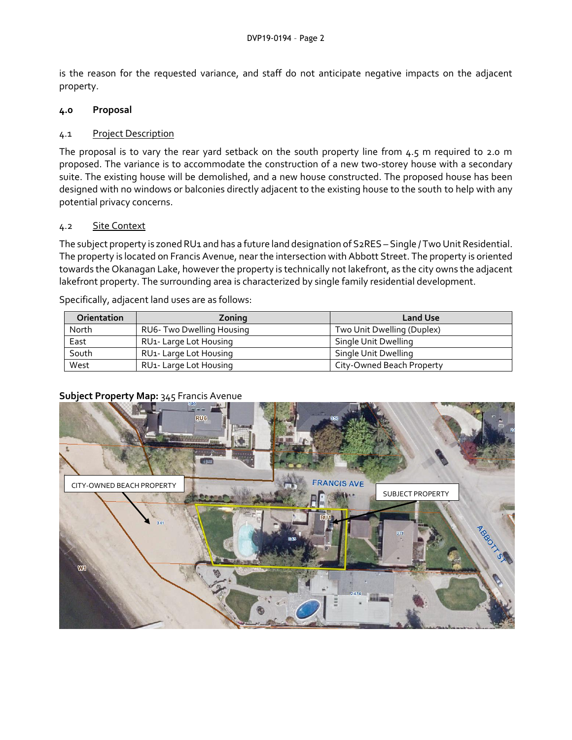is the reason for the requested variance, and staff do not anticipate negative impacts on the adjacent property.

## **4.0 Proposal**

### 4.1 Project Description

The proposal is to vary the rear yard setback on the south property line from  $4.5$  m required to 2.0 m proposed. The variance is to accommodate the construction of a new two-storey house with a secondary suite. The existing house will be demolished, and a new house constructed. The proposed house has been designed with no windows or balconies directly adjacent to the existing house to the south to help with any potential privacy concerns.

## 4.2 Site Context

The subject property is zoned RU1 and has a future land designation of S2RES – Single / Two Unit Residential. The property is located on Francis Avenue, near the intersection with Abbott Street. The property is oriented towards the Okanagan Lake, however the property is technically not lakefront, as the city owns the adjacent lakefront property. The surrounding area is characterized by single family residential development.

Specifically, adjacent land uses are as follows:

| <b>Orientation</b> | Zoning                             | <b>Land Use</b>            |
|--------------------|------------------------------------|----------------------------|
| North              | RU6- Two Dwelling Housing          | Two Unit Dwelling (Duplex) |
| East               | RU <sub>1</sub> -Large Lot Housing | Single Unit Dwelling       |
| South              | RU <sub>1</sub> -Large Lot Housing | Single Unit Dwelling       |
| West               | RU <sub>1</sub> -Large Lot Housing | City-Owned Beach Property  |

## **Subject Property Map:** 345 Francis Avenue